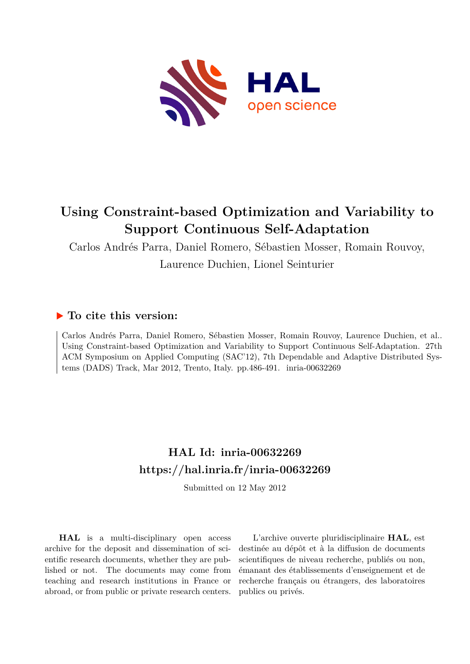

# **Using Constraint-based Optimization and Variability to Support Continuous Self-Adaptation**

Carlos Andrés Parra, Daniel Romero, Sébastien Mosser, Romain Rouvoy, Laurence Duchien, Lionel Seinturier

### **To cite this version:**

Carlos Andrés Parra, Daniel Romero, Sébastien Mosser, Romain Rouvoy, Laurence Duchien, et al.. Using Constraint-based Optimization and Variability to Support Continuous Self-Adaptation. 27th ACM Symposium on Applied Computing (SAC'12), 7th Dependable and Adaptive Distributed Systems (DADS) Track, Mar 2012, Trento, Italy. pp. 486-491. inria-00632269

# **HAL Id: inria-00632269 <https://hal.inria.fr/inria-00632269>**

Submitted on 12 May 2012

**HAL** is a multi-disciplinary open access archive for the deposit and dissemination of scientific research documents, whether they are published or not. The documents may come from teaching and research institutions in France or abroad, or from public or private research centers.

L'archive ouverte pluridisciplinaire **HAL**, est destinée au dépôt et à la diffusion de documents scientifiques de niveau recherche, publiés ou non, émanant des établissements d'enseignement et de recherche français ou étrangers, des laboratoires publics ou privés.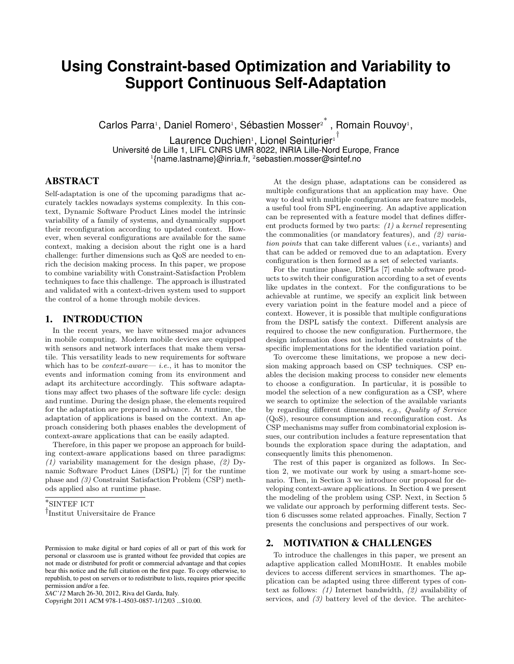## **Using Constraint-based Optimization and Variability to Support Continuous Self-Adaptation**

Carlos Parra<sup>1</sup>, Daniel Romero<sup>1</sup>, Sébastien Mosser<sup>2\*</sup>, Romain Rouvoy<sup>1</sup>,

Laurence Duchien<sup>1</sup>, Lionel Seinturier<sup>1†</sup>

Université de Lille 1, LIFL CNRS UMR 8022, INRIA Lille-Nord Europe, France

### <sup>1</sup>{name.lastname}@inria.fr, <sup>2</sup>sebastien.mosser@sintef.no

### ABSTRACT

Self-adaptation is one of the upcoming paradigms that accurately tackles nowadays systems complexity. In this context, Dynamic Software Product Lines model the intrinsic variability of a family of systems, and dynamically support their reconfiguration according to updated context. However, when several configurations are available for the same context, making a decision about the right one is a hard challenge: further dimensions such as QoS are needed to enrich the decision making process. In this paper, we propose to combine variability with Constraint-Satisfaction Problem techniques to face this challenge. The approach is illustrated and validated with a context-driven system used to support the control of a home through mobile devices.

#### 1. INTRODUCTION

In the recent years, we have witnessed major advances in mobile computing. Modern mobile devices are equipped with sensors and network interfaces that make them versatile. This versatility leads to new requirements for software which has to be *context-aware*— *i.e.*, it has to monitor the events and information coming from its environment and adapt its architecture accordingly. This software adaptations may affect two phases of the software life cycle: design and runtime. During the design phase, the elements required for the adaptation are prepared in advance. At runtime, the adaptation of applications is based on the context. An approach considering both phases enables the development of context-aware applications that can be easily adapted.

Therefore, in this paper we propose an approach for building context-aware applications based on three paradigms: (1) variability management for the design phase, (2) Dynamic Software Product Lines (DSPL) [7] for the runtime phase and (3) Constraint Satisfaction Problem (CSP) methods applied also at runtime phase.

∗ SINTEF ICT † Institut Universitaire de France

Copyright 2011 ACM 978-1-4503-0857-1/12/03 ...\$10.00.

At the design phase, adaptations can be considered as multiple configurations that an application may have. One way to deal with multiple configurations are feature models, a useful tool from SPL engineering. An adaptive application can be represented with a feature model that defines different products formed by two parts:  $(1)$  a kernel representing the commonalities (or mandatory features), and  $(2)$  variation points that can take different values (i.e., variants) and that can be added or removed due to an adaptation. Every configuration is then formed as a set of selected variants.

For the runtime phase, DSPLs [7] enable software products to switch their configuration according to a set of events like updates in the context. For the configurations to be achievable at runtime, we specify an explicit link between every variation point in the feature model and a piece of context. However, it is possible that multiple configurations from the DSPL satisfy the context. Different analysis are required to choose the new configuration. Furthermore, the design information does not include the constraints of the specific implementations for the identified variation point.

To overcome these limitations, we propose a new decision making approach based on CSP techniques. CSP enables the decision making process to consider new elements to choose a configuration. In particular, it is possible to model the selection of a new configuration as a CSP, where we search to optimize the selection of the available variants by regarding different dimensions, e.g., Quality of Service (QoS), resource consumption and reconfiguration cost. As CSP mechanisms may suffer from combinatorial explosion issues, our contribution includes a feature representation that bounds the exploration space during the adaptation, and consequently limits this phenomenon.

The rest of this paper is organized as follows. In Section 2, we motivate our work by using a smart-home scenario. Then, in Section 3 we introduce our proposal for developing context-aware applications. In Section 4 we present the modeling of the problem using CSP. Next, in Section 5 we validate our approach by performing different tests. Section 6 discusses some related approaches. Finally, Section 7 presents the conclusions and perspectives of our work.

#### 2. MOTIVATION & CHALLENGES

To introduce the challenges in this paper, we present an adaptive application called MobiHome. It enables mobile devices to access different services in smarthomes. The application can be adapted using three different types of context as follows: (1) Internet bandwidth, (2) availability of services, and  $(3)$  battery level of the device. The architec-

Permission to make digital or hard copies of all or part of this work for personal or classroom use is granted without fee provided that copies are not made or distributed for profit or commercial advantage and that copies bear this notice and the full citation on the first page. To copy otherwise, to republish, to post on servers or to redistribute to lists, requires prior specific permission and/or a fee.

*SAC'12* March 26-30, 2012, Riva del Garda, Italy.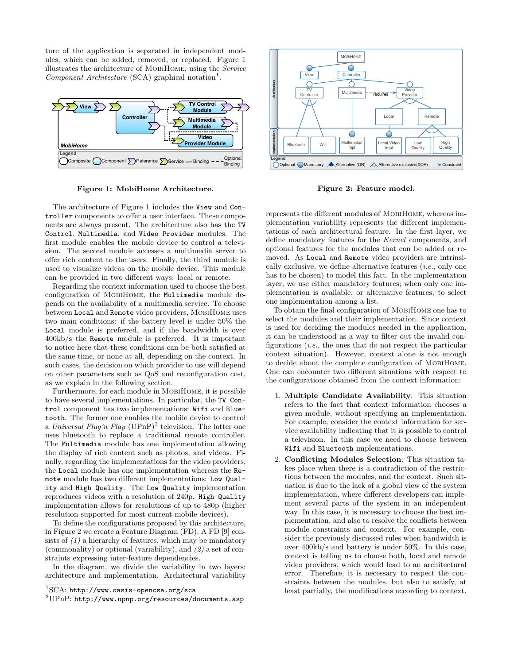ture of the application is separated in independent modules, which can be added, removed, or replaced. Figure 1 illustrates the architecture of MobiHome, using the Service Component Architecture (SCA) graphical notation<sup>1</sup>.



Figure 1: MobiHome Architecture.

The architecture of Figure 1 includes the View and Controller components to offer a user interface. These components are always present. The architecture also has the TV Control, Multimedia, and Video Provider modules. The first module enables the mobile device to control a television. The second module accesses a multimedia server to offer rich content to the users. Finally, the third module is used to visualize videos on the mobile device. This module can be provided in two different ways: local or remote.

Regarding the context information used to choose the best configuration of MobiHome, the Multimedia module depends on the availability of a multimedia service. To choose between Local and Remote video providers, MobiHome uses two main conditions: if the battery level is under 50% the Local module is preferred, and if the bandwidth is over 400kb/s the Remote module is preferred. It is important to notice here that these conditions can be both satisfied at the same time, or none at all, depending on the context. In such cases, the decision on which provider to use will depend on other parameters such as QoS and reconfiguration cost, as we explain in the following section.

Furthermore, for each module in MobiHome, it is possible to have several implementations. In particular, the TV Control component has two implementations: Wifi and Bluetooth. The former one enables the mobile device to control a Universal Plug'n Play (UPnP)<sup>2</sup> television. The latter one uses bluetooth to replace a traditional remote controller. The Multimedia module has one implementation allowing the display of rich content such as photos, and videos. Finally, regarding the implementations for the video providers, the Local module has one implementation whereas the Remote module has two different implementations: Low Quality and High Quality. The Low Quality implementation reproduces videos with a resolution of 240p. High Quality implementation allows for resolutions of up to 480p (higher resolution supported for most current mobile devices).

To define the configurations proposed by this architecture, in Figure 2 we create a Feature Diagram (FD). A FD [9] consists of  $(1)$  a hierarchy of features, which may be mandatory (commonality) or optional (variability), and (2) a set of constraints expressing inter-feature dependencies.

In the diagram, we divide the variability in two layers: architecture and implementation. Architectural variability



Figure 2: Feature model.

represents the different modules of MobiHome, whereas implementation variability represents the different implementations of each architectural feature. In the first layer, we define mandatory features for the Kernel components, and optional features for the modules that can be added or removed. As Local and Remote video providers are intrinsically exclusive, we define alternative features  $(i.e.,$  only one has to be chosen) to model this fact. In the implementation layer, we use either mandatory features; when only one implementation is available, or alternative features; to select one implementation among a list.

To obtain the final configuration of MobiHome one has to select the modules and their implementation. Since context is used for deciding the modules needed in the application, it can be understood as a way to filter out the invalid configurations (*i.e.*, the ones that do not respect the particular context situation). However, context alone is not enough to decide about the complete configuration of MobiHome. One can encounter two different situations with respect to the configurations obtained from the context information:

- 1. Multiple Candidate Availability: This situation refers to the fact that context information chooses a given module, without specifying an implementation. For example, consider the context information for service availability indicating that it is possible to control a television. In this case we need to choose between Wifi and Bluetooth implementations.
- 2. Conflicting Modules Selection: This situation takes place when there is a contradiction of the restrictions between the modules, and the context. Such situation is due to the lack of a global view of the system implementation, where different developers can implement several parts of the system in an independent way. In this case, it is necessary to choose the best implementation, and also to resolve the conflicts between module constraints and context. For example, consider the previously discussed rules when bandwidth is over 400kb/s and battery is under 50%. In this case, context is telling us to choose both, local and remote video providers, which would lead to an architectural error. Therefore, it is necessary to respect the constraints between the modules, but also to satisfy, at least partially, the modifications according to context.

 ${}^{1}$ SCA: http://www.oasis-opencsa.org/sca

 $^{2}UPnP:$  http://www.upnp.org/resources/documents.asp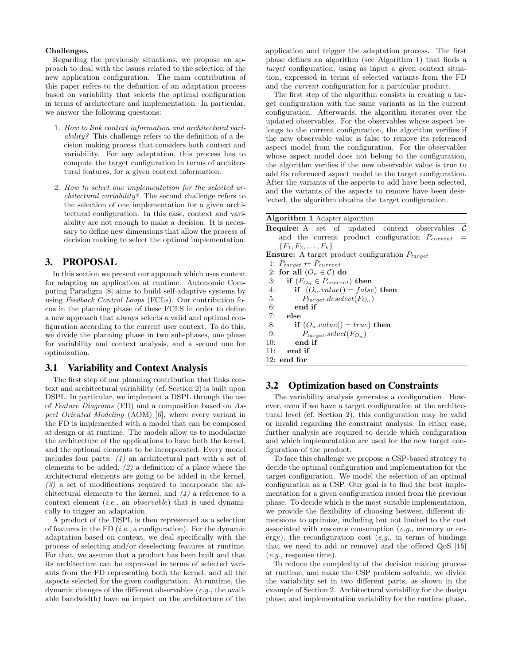#### Challenges*.*

Regarding the previously situations, we propose an approach to deal with the issues related to the selection of the new application configuration. The main contribution of this paper refers to the definition of an adaptation process based on variability that selects the optimal configuration in terms of architecture and implementation. In particular, we answer the following questions:

- 1. How to link context information and architectural variability? This challenge refers to the definition of a decision making process that considers both context and variability. For any adaptation, this process has to compute the target configuration in terms of architectural features, for a given context information.
- 2. How to select one implementation for the selected architectural variability? The second challenge refers to the selection of one implementation for a given architectural configuration. In this case, context and variability are not enough to make a decision. It is necessary to define new dimensions that allow the process of decision making to select the optimal implementation.

#### 3. PROPOSAL

In this section we present our approach which uses context for adapting an application at runtime. Autonomic Computing Paradigm [8] aims to build self-adaptive systems by using Feedback Control Loops (FCLs). Our contribution focus in the planning phase of these FCLS in order to define a new approach that always selects a valid and optimal configuration according to the current user context. To do this, we divide the planning phase in two sub-phases, one phase for variability and context analysis, and a second one for optimization.

#### 3.1 Variability and Context Analysis

The first step of our planning contribution that links context and architectural variability (cf. Section 2) is built upon DSPL. In particular, we implement a DSPL through the use of Feature Diagrams (FD) and a composition based on Aspect Oriented Modeling (AOM) [6], where every variant in the FD is implemented with a model that can be composed at design or at runtime. The models allow us to modularize the architecture of the applications to have both the kernel, and the optional elements to be incorporated. Every model includes four parts:  $(1)$  an architectural part with a set of elements to be added,  $(2)$  a definition of a place where the architectural elements are going to be added in the kernel,  $(3)$  a set of modifications required to incorporate the architectural elements to the kernel, and  $(4)$  a reference to a context element (i.e., an observable) that is used dynamically to trigger an adaptation.

A product of the DSPL is then represented as a selection of features in the FD  $(i.e., a configuration)$ . For the dynamic adaptation based on context, we deal specifically with the process of selecting and/or deselecting features at runtime. For that, we assume that a product has been built and that its architecture can be expressed in terms of selected variants from the FD representing both the kernel, and all the aspects selected for the given configuration. At runtime, the dynamic changes of the different observables (e.g., the available bandwidth) have an impact on the architecture of the

application and trigger the adaptation process. The first phase defines an algorithm (see Algorithm 1) that finds a target configuration, using as input a given context situation, expressed in terms of selected variants from the FD and the current configuration for a particular product.

The first step of the algorithm consists in creating a target configuration with the same variants as in the current configuration. Afterwards, the algorithm iterates over the updated observables. For the observables whose aspect belongs to the current configuration, the algorithm verifies if the new observable value is false to remove its referenced aspect model from the configuration. For the observables whose aspect model does not belong to the configuration, the algorithm verifies if the new observable value is true to add its referenced aspect model to the target configuration. After the variants of the aspects to add have been selected, and the variants of the aspects to remove have been deselected, the algorithm obtains the target configuration.

| Algorithm 1 Adapter algorithm |
|-------------------------------|
|                               |

| <b>Require:</b> A set of updated context observables<br>- C |  |  |  |  |  |  |
|-------------------------------------------------------------|--|--|--|--|--|--|
| and the current product configuration $P_{current}$<br>$=$  |  |  |  |  |  |  |
| ${F_1, F_2, \ldots, F_k}$                                   |  |  |  |  |  |  |
| <b>Ensure:</b> A target product configuration $P_{target}$  |  |  |  |  |  |  |
| 1: $P_{target} \leftarrow P_{current}$                      |  |  |  |  |  |  |
| 2: for all $(O_n \in \mathcal{C})$ do                       |  |  |  |  |  |  |
| if $(F_{O_n} \in P_{current})$ then<br>3:                   |  |  |  |  |  |  |
| if $(O_n.value() = false)$ then<br>4:                       |  |  |  |  |  |  |
| $P_{target}.deselect(F_{O_n})$<br>5:                        |  |  |  |  |  |  |
| end if<br>6:                                                |  |  |  |  |  |  |
| 7:<br>else                                                  |  |  |  |  |  |  |
| if $(O_n.value() = true)$ then<br>8:                        |  |  |  |  |  |  |
| $P_{target}.select(F_{O_n})$<br>9:                          |  |  |  |  |  |  |
| end if<br>10:                                               |  |  |  |  |  |  |
| end if<br>11:                                               |  |  |  |  |  |  |
| 12: end for                                                 |  |  |  |  |  |  |
|                                                             |  |  |  |  |  |  |

#### 3.2 Optimization based on Constraints

The variability analysis generates a configuration. However, even if we have a target configuration at the architectural level (cf. Section 2), this configuration may be valid or invalid regarding the constraint analysis. In either case, further analysis are required to decide which configuration and which implementation are used for the new target configuration of the product.

To face this challenge we propose a CSP-based strategy to decide the optimal configuration and implementation for the target configuration. We model the selection of an optimal configuration as a CSP. Our goal is to find the best implementation for a given configuration issued from the previous phase. To decide which is the most suitable implementation, we provide the flexibility of choosing between different dimensions to optimize, including but not limited to the cost associated with resource consumption  $(e.q.,$  memory or energy), the reconfiguration cost  $(e.q.,$  in terms of bindings that we need to add or remove) and the offered QoS [15] (e.g., response time).

To reduce the complexity of the decision making process at runtime, and make the CSP problem solvable, we divide the variability set in two different parts, as shown in the example of Section 2. Architectural variability for the design phase, and implementation variability for the runtime phase.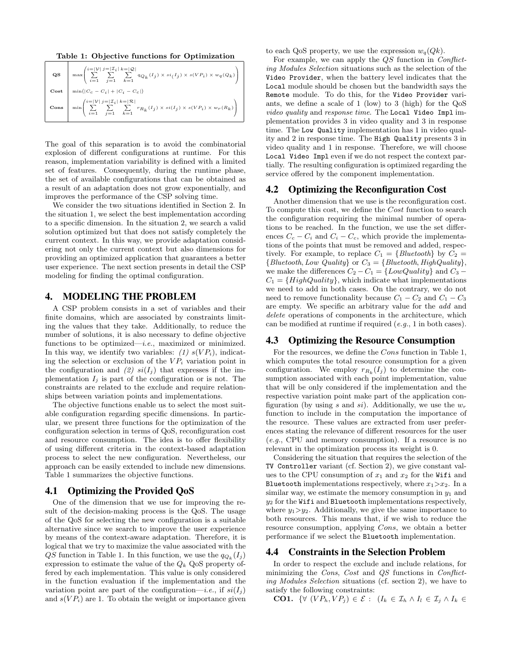Table 1: Objective functions for Optimization

| $\textbf{QS} \quad \left[ \begin{array}{c} \max\Bigg(\sum\limits_{i=1}^{i= \mathcal{V} } \sum\limits_{j=1}^{j= \mathcal{I}_i } \sum\limits_{k=1}^{k= \mathcal{Q} } q_{Q_k}(I_j) \times s{i_(I_j)} \times s(VP_i) \times wq(Q_k) \Bigg) \end{array} \right]$                                                                                                                                                                                                           |
|-----------------------------------------------------------------------------------------------------------------------------------------------------------------------------------------------------------------------------------------------------------------------------------------------------------------------------------------------------------------------------------------------------------------------------------------------------------------------|
|                                                                                                                                                                                                                                                                                                                                                                                                                                                                       |
| $\begin{array}{l l l} \textbf{Cost} & \min(\vert C_{c} - C_{i} \vert + \vert C_{i} - C_{c} \vert) \\ & \min\left(\sum\limits_{i=1}^{\vert z \vert} \sum\limits_{j=1}^{\vert z \vert} \sum\limits_{k=1}^{\vert z \vert} \vert \nabla \vert \\ & \min\left(\sum\limits_{i=1}^{\vert z \vert} \sum\limits_{j=1}^{\vert z \vert} \sum\limits_{k=1}^{\vert z \vert} \vert \nabla_{R_{k}}(I_{j}) \times s(iI_{j}) \times s(VP_{i}) \times w_{r}(R_{k}) \right) \end{array}$ |

The goal of this separation is to avoid the combinatorial explosion of different configurations at runtime. For this reason, implementation variability is defined with a limited set of features. Consequently, during the runtime phase, the set of available configurations that can be obtained as a result of an adaptation does not grow exponentially, and improves the performance of the CSP solving time.

We consider the two situations identified in Section 2. In the situation 1, we select the best implementation according to a specific dimension. In the situation 2, we search a valid solution optimized but that does not satisfy completely the current context. In this way, we provide adaptation considering not only the current context but also dimensions for providing an optimized application that guarantees a better user experience. The next section presents in detail the CSP modeling for finding the optimal configuration.

#### 4. MODELING THE PROBLEM

A CSP problem consists in a set of variables and their finite domains, which are associated by constraints limiting the values that they take. Additionally, to reduce the number of solutions, it is also necessary to define objective functions to be optimized—*i.e.*, maximized or minimized. In this way, we identify two variables:  $(1)$   $s(VP_i)$ , indicating the selection or exclusion of the  $VP_i$  variation point in the configuration and (2)  $si(I_i)$  that expresses if the implementation  $I_i$  is part of the configuration or is not. The constraints are related to the exclude and require relationships between variation points and implementations.

The objective functions enable us to select the most suitable configuration regarding specific dimensions. In particular, we present three functions for the optimization of the configuration selection in terms of QoS, reconfiguration cost and resource consumption. The idea is to offer flexibility of using different criteria in the context-based adaptation process to select the new configuration. Nevertheless, our approach can be easily extended to include new dimensions. Table 1 summarizes the objective functions.

#### 4.1 Optimizing the Provided QoS

One of the dimension that we use for improving the result of the decision-making process is the QoS. The usage of the QoS for selecting the new configuration is a suitable alternative since we search to improve the user experience by means of the context-aware adaptation. Therefore, it is logical that we try to maximize the value associated with the  $QS$  function in Table 1. In this function, we use the  $q_{Q_k}(I_j)$ expression to estimate the value of the  $Q_k$  QoS property offered by each implementation. This value is only considered in the function evaluation if the implementation and the variation point are part of the configuration—i.e., if  $si(I_i)$ and  $s(VP_i)$  are 1. To obtain the weight or importance given to each QoS property, we use the expression  $w_q(Qk)$ .

For example, we can apply the QS function in Conflicting Modules Selection situations such as the selection of the Video Provider, when the battery level indicates that the Local module should be chosen but the bandwidth says the Remote module. To do this, for the Video Provider variants, we define a scale of 1 (low) to 3 (high) for the QoS video quality and response time. The Local Video Impl implementation provides 3 in video quality and 3 in response time. The Low Quality implementation has 1 in video quality and 2 in response time. The High Quality presents 3 in video quality and 1 in response. Therefore, we will choose Local Video Impl even if we do not respect the context partially. The resulting configuration is optimized regarding the service offered by the component implementation.

#### 4.2 Optimizing the Reconfiguration Cost

Another dimension that we use is the reconfiguration cost. To compute this cost, we define the Cost function to search the configuration requiring the minimal number of operations to be reached. In the function, we use the set differences  $C_c - C_i$  and  $C_i - C_c$ , which provide the implementations of the points that must be removed and added, respectively. For example, to replace  $C_1 = \{Bluetooth\}$  by  $C_2 =$  ${Bluetooth, Low Quality}$  or  $C_3 = {Bluetooth, High Quality}$ , we make the differences  $C_2 - C_1 = \{LowQuality\}$  and  $C_3$  –  $C_1 = \{HighQuality\}$ , which indicate what implementations we need to add in both cases. On the contrary, we do not need to remove functionality because  $C_1 - C_2$  and  $C_1 - C_3$ are empty. We specific an arbitrary value for the add and delete operations of components in the architecture, which can be modified at runtime if required (e.g., 1 in both cases).

#### 4.3 Optimizing the Resource Consumption

For the resources, we define the *Cons* function in Table 1. which computes the total resource consumption for a given configuration. We employ  $r_{R_k}(I_j)$  to determine the consumption associated with each point implementation, value that will be only considered if the implementation and the respective variation point make part of the application configuration (by using s and si). Additionally, we use the  $w_r$ function to include in the computation the importance of the resource. These values are extracted from user preferences stating the relevance of different resources for the user (e.g., CPU and memory consumption). If a resource is no relevant in the optimization process its weight is 0.

Considering the situation that requires the selection of the TV Controller variant (cf. Section 2), we give constant values to the CPU consumption of  $x_1$  and  $x_2$  for the Wifi and Bluetooth implementations respectively, where  $x_1 > x_2$ . In a similar way, we estimate the memory consumption in  $y_1$  and  $y_2$  for the Wifi and Bluetooth implementations respectively, where  $y_1 > y_2$ . Additionally, we give the same importance to both resources. This means that, if we wish to reduce the resource consumption, applying Cons, we obtain a better performance if we select the Bluetooth implementation.

#### 4.4 Constraints in the Selection Problem

In order to respect the exclude and include relations, for minimizing the Cons, Cost and QS functions in Conflicting Modules Selection situations (cf. section 2), we have to satisfy the following constraints:

CO1.  $\{\forall (VP_h, VP_j) \in \mathcal{E}: (I_k \in \mathcal{I}_h \land I_l \in \mathcal{I}_j \land I_k \in$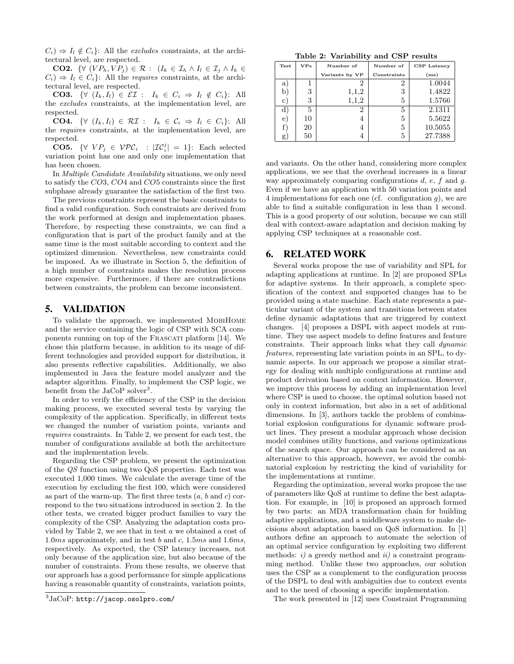$C_i$   $\Rightarrow$   $I_l \notin C_i$ : All the *excludes* constraints, at the architectural level, are respected.

CO2.  $\{\forall (VP_h, VP_j) \in \mathcal{R}: (I_k \in \mathcal{I}_h \land I_l \in \mathcal{I}_j \land I_k \in$  $C_i$ )  $\Rightarrow I_l \in C_i$ : All the *requires* constraints, at the architectural level, are respected.

**CO3.** {∀  $(I_k, I_l) \in \mathcal{EI}$ :  $I_k \in C_i \Rightarrow I_l \notin C_i$ }: All the excludes constraints, at the implementation level, are respected.

**CO4.** { $\forall$   $(I_k, I_l) \in \mathcal{RI}$  :  $I_k \in \mathcal{C}_i \Rightarrow I_l \in \mathcal{C}_i$  }: All the requires constraints, at the implementation level, are respected.

**CO5.** { $\forall VP_j \in \mathcal{VPC}_i : |\mathcal{IC}_i^j| = 1$ }: Each selected variation point has one and only one implementation that has been chosen.

In Multiple Candidate Availability situations, we only need to satisfy the CO3, CO4 and CO5 constraints since the first subphase already guarantee the satisfaction of the first two.

The previous constraints represent the basic constraints to find a valid configuration. Such constraints are derived from the work performed at design and implementation phases. Therefore, by respecting these constraints, we can find a configuration that is part of the product family and at the same time is the most suitable according to context and the optimized dimension. Nevertheless, new constraints could be imposed. As we illustrate in Section 5, the definition of a high number of constraints makes the resolution process more expensive. Furthermore, if there are contradictions between constraints, the problem can become inconsistent.

#### 5. VALIDATION

To validate the approach, we implemented MobiHome and the service containing the logic of CSP with SCA components running on top of the Frascati platform [14]. We chose this platform because, in addition to its usage of different technologies and provided support for distribution, it also presents reflective capabilities. Additionally, we also implemented in Java the feature model analyzer and the adapter algorithm. Finally, to implement the CSP logic, we benefit from the JaCoP solver<sup>3</sup>.

In order to verify the efficiency of the CSP in the decision making process, we executed several tests by varying the complexity of the application. Specifically, in different tests we changed the number of variation points, variants and requires constraints. In Table 2, we present for each test, the number of configurations available at both the architecture and the implementation levels.

Regarding the CSP problem, we present the optimization of the QS function using two QoS properties. Each test was executed 1,000 times. We calculate the average time of the execution by excluding the first 100, which were considered as part of the warm-up. The first three tests  $(a, b \text{ and } c)$  correspond to the two situations introduced in section 2. In the other tests, we created bigger product families to vary the complexity of the CSP. Analyzing the adaptation costs provided by Table 2, we see that in test a we obtained a cost of 1.0ms approximately, and in test b and c, 1.5ms and 1.6ms, respectively. As expected, the CSP latency increases, not only because of the application size, but also because of the number of constraints. From these results, we observe that our approach has a good performance for simple applications having a reasonable quantity of constraints, variation points,

Table 2: Variability and CSP results

| Test | VP <sub>s</sub> | Number of      | Number of   | <b>CSP Latency</b> |
|------|-----------------|----------------|-------------|--------------------|
|      |                 | Variants by VP | Constraints | (ms)               |
| a)   |                 | 2              | റ           | 1.0044             |
| b    | 3               | 1,1,2          | 3           | 1.4822             |
| C.   | 3               | 1,1,2          | 5           | 1.5766             |
| đ    | 5               | 2              | 5           | 2.1311             |
| e l  | 10              | 4              | 5           | 5.5622             |
|      | 20              | 4              | 5           | 10.5055            |
| g.   | 50              | 4              | 5           | 27.7388            |

and variants. On the other hand, considering more complex applications, we see that the overhead increases in a linear way approximately comparing configurations  $d, e, f$  and  $g$ . Even if we have an application with 50 variation points and 4 implementations for each one (cf. configuration  $g$ ), we are able to find a suitable configuration in less than 1 second. This is a good property of our solution, because we can still deal with context-aware adaptation and decision making by applying CSP techniques at a reasonable cost.

#### 6. RELATED WORK

Several works propose the use of variability and SPL for adapting applications at runtime. In [2] are proposed SPLs for adaptive systems. In their approach, a complete specification of the context and supported changes has to be provided using a state machine. Each state represents a particular variant of the system and transitions between states define dynamic adaptations that are triggered by context changes. [4] proposes a DSPL with aspect models at runtime. They use aspect models to define features and feature constraints. Their approach links what they call dynamic features, representing late variation points in an SPL, to dynamic aspects. In our approach we propose a similar strategy for dealing with multiple configurations at runtime and product derivation based on context information. However, we improve this process by adding an implementation level where CSP is used to choose, the optimal solution based not only in context information, but also in a set of additional dimensions. In [3], authors tackle the problem of combinatorial explosion configurations for dynamic software product lines. They present a modular approach whose decision model combines utility functions, and various optimizations of the search space. Our approach can be considered as an alternative to this approach, however, we avoid the combinatorial explosion by restricting the kind of variability for the implementations at runtime.

Regarding the optimization, several works propose the use of parameters like QoS at runtime to define the best adaptation. For example, in [10] is proposed an approach formed by two parts: an MDA transformation chain for building adaptive applications, and a middleware system to make decisions about adaptation based on QoS information. In [1] authors define an approach to automate the selection of an optimal service configuration by exploiting two different methods:  $i)$  a greedy method and  $ii)$  a constraint programming method. Unlike these two approaches, our solution uses the CSP as a complement to the configuration process of the DSPL to deal with ambiguities due to context events and to the need of choosing a specific implementation.

The work presented in [12] uses Constraint Programming

 $^3\mathrm{JaCoP:}\,$ http://jacop.osolpro.com/